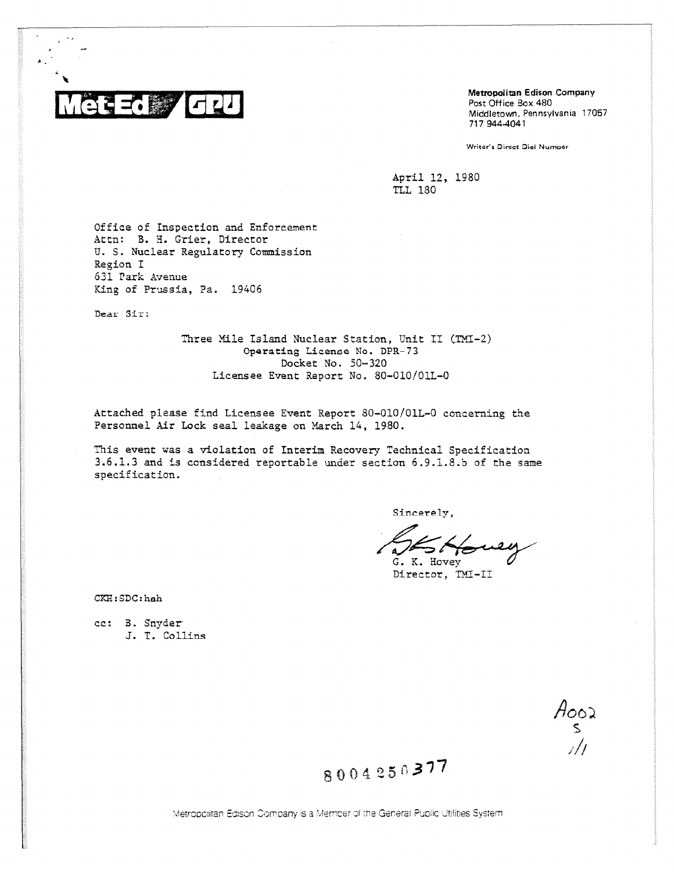

Metropolitan Edison Company Post Office Box 480 Middletown, Pennsylvania 17057 717 944-4041

Writer's Direct Dial Number

April 12, 1980 **TLL 180** 

Office of Inspection and Enforcement Attn: B. H. Grier, Director U. S. Nuclear Regulatory Commission Region I 631 Park Avenue King of Prussia, Pa. 19406

Dear Sir:

Three Mile Island Nuclear Station, Unit II (TMI-2) Operating License No. DPR-73 Docket No. 50-320 Licensee Event Report No. 80-010/01L-0

Attached please find Licensee Event Report 80-010/01L-0 concerning the Personnel Air Lock seal leakage on March 14, 1980.

This event was a violation of Interim Recovery Technical Specification 3.6.1.3 and is considered reportable under section 6.9.1.8.b of the same specification.

Sincerely,

G. K. Hovev

Director, TMI-II

CKH:SDC:hah

cc: B. Snyder J. T. Collins

Aooz<br>S

8004250377

Metropolitan Edison Company is a Member of the General Public Utilities System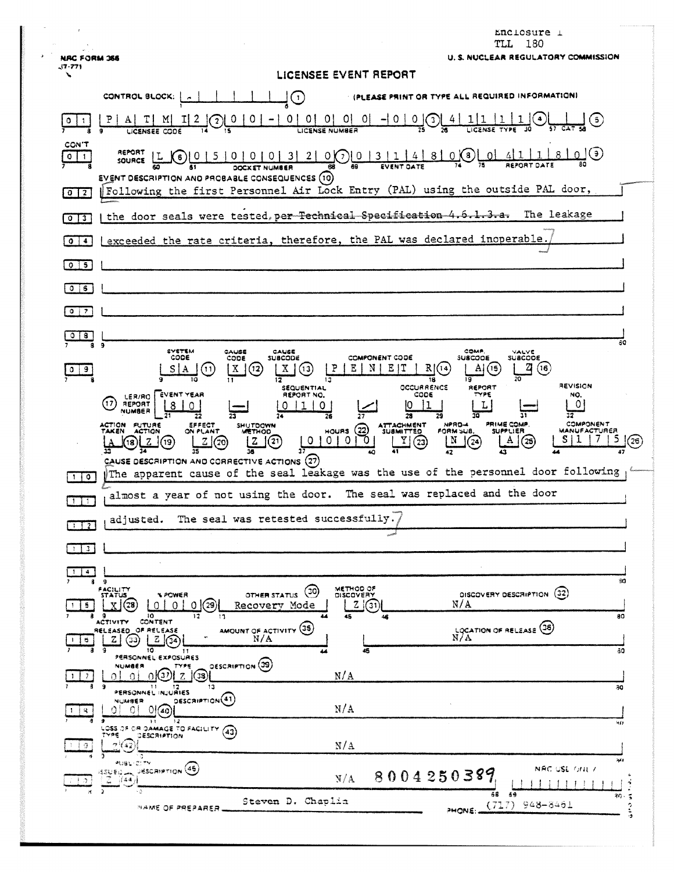| $\pmb{\tau}$               | Enclosure 1<br>180<br>TLL                                                                                                                                                                                                                                                                                                                                                                                                                    |     |
|----------------------------|----------------------------------------------------------------------------------------------------------------------------------------------------------------------------------------------------------------------------------------------------------------------------------------------------------------------------------------------------------------------------------------------------------------------------------------------|-----|
| <b>NRC FORM 366</b>        | U. S. NUCLEAR REGULATORY COMMISSION                                                                                                                                                                                                                                                                                                                                                                                                          |     |
| -17-771<br>╲               | LICENSEE EVENT REPORT                                                                                                                                                                                                                                                                                                                                                                                                                        |     |
|                            | <b>I (PLEASE PRINT OR TYPE ALL REQUIRED INFORMATION)</b><br>CONTROL BLOCK: {<br>(1.                                                                                                                                                                                                                                                                                                                                                          |     |
|                            | 01<br>0<br>[0]<br>$-10$<br>01 01<br>0<br>$\left(3\right)$<br>3)<br>2<br>LICENSE NUMBER                                                                                                                                                                                                                                                                                                                                                       |     |
| CON'T<br>0<br>$\mathbf{1}$ | REPORT<br>$\odot$<br><u>_01</u><br>411<br>$\left( 6\right)$<br>SOURCE<br><b>EVENT DESCRIPTION AND PROBABLE CONSEQUENCES (10)</b>                                                                                                                                                                                                                                                                                                             |     |
| $0$   2                    | Following the first Personnel Air Lock Entry (PAL) using the outside PAL door,                                                                                                                                                                                                                                                                                                                                                               |     |
| $0$ $13$                   | the door seals were tested, per Technical Specification 4.6.1.3.a.<br>The leakage                                                                                                                                                                                                                                                                                                                                                            |     |
| $\bullet$<br>$\clubsuit$   | exceeded the rate criteria, therefore, the PAL was declared inoperable.                                                                                                                                                                                                                                                                                                                                                                      |     |
| $\circ$ 1<br>5             |                                                                                                                                                                                                                                                                                                                                                                                                                                              |     |
| $\bullet$<br>6             |                                                                                                                                                                                                                                                                                                                                                                                                                                              |     |
| $\circ$ 1<br>-7            |                                                                                                                                                                                                                                                                                                                                                                                                                                              |     |
| $\mathbf{s}$<br>$\circ$    |                                                                                                                                                                                                                                                                                                                                                                                                                                              |     |
|                            | 60<br>9<br>SYSTEM<br><b>COMP.</b><br>CAUSE<br>CAUSE<br>VALVE<br>CODE<br>SUBCODE<br>CODE<br><b>SUBCODE</b><br><b>COMPONENT CODE</b><br><b>SUSCODE</b>                                                                                                                                                                                                                                                                                         |     |
| 9<br>0                     | $\mathbf X$<br>Χ<br>P<br>Е<br>RI(14<br>(16<br>Е<br>N<br>AI<br>(15<br>(11<br>(12<br>(13<br>Α<br>10<br>12<br>13<br>19                                                                                                                                                                                                                                                                                                                          |     |
|                            | REVISION<br>OCCURRENCE<br>REPORT<br>SEQUENTIAL<br><b>EVENT YEAR</b><br>CODE<br>TYPE<br>REPORT NO.<br>NO.<br>LER/RO<br>(17<br>0<br>REPORT<br>L<br>8<br>0<br>0.<br>0<br>NUMBER<br>28<br>31<br>32<br>27<br>29<br>22<br>26                                                                                                                                                                                                                       |     |
|                            | <b>PRIME COMP</b><br><b>COMPONENT</b><br>ACTION FUTURE<br>EFFECT<br>NPRO-4<br>SHUTDOWN<br>ATTACHMENT<br>SUBMITTED<br>(22)<br><b>TAKEN</b><br><b>HOURS</b><br>FORM SUB.<br>MANUFACTURER<br><b>ACTION</b><br>ON PLANT<br>SUPPLIER<br>(23)<br>᠊ᢅ᠐<br>Y<br>$\left( 21\right)$<br>0   0<br>  N<br>$\overline{0}$<br>$\sqrt{24}$<br>A<br>(25)<br>z<br>](19)<br>(20)<br>18<br>13<br>42<br>43<br>47<br>CAUSE DESCRIPTION AND CORRECTIVE ACTIONS (27) | (26 |
| 1 0                        | The apparent cause of the seal leakage was the use of the personnel door following                                                                                                                                                                                                                                                                                                                                                           |     |
| $\mathbf{1}$   1           | The seal was replaced and the door<br>almost a year of not using the door.                                                                                                                                                                                                                                                                                                                                                                   |     |
| $1 \mid 2 \mid$            | adjusted. The seal was retested successfully.                                                                                                                                                                                                                                                                                                                                                                                                |     |
| $1 \mid 3 \mid$            |                                                                                                                                                                                                                                                                                                                                                                                                                                              |     |
| 14.                        |                                                                                                                                                                                                                                                                                                                                                                                                                                              |     |
| 8                          | 30<br>9<br>METHOD OF<br>FACILITY<br>(30)<br>DISCOVERY DESCRIPTION (32)<br><b><i>N POWER</i></b><br>OTHER STATUS<br><b>DISCOVERY</b><br><b>STATUS</b>                                                                                                                                                                                                                                                                                         |     |
| 5.                         | N/A<br>zι<br>01(29)<br>31<br>∩.<br>Recovery Mode<br>10<br>45<br>80<br>17<br>áв<br>ACTIVITY CONTENT                                                                                                                                                                                                                                                                                                                                           |     |
| e.                         | LOCATION OF RELEASE (36)<br>AMOUNT OF ACTIVITY (35)<br>RELEASED OF RELEASE<br>N/A<br> Z <br>(33)<br>z                                                                                                                                                                                                                                                                                                                                        |     |
|                            | 30<br>10.<br>45<br>-11<br>PERSONNEL EXPOSURES<br>OESCRIPTION (39)<br>NUMBER                                                                                                                                                                                                                                                                                                                                                                  |     |
|                            | N/A<br>$\bullet$<br>OK37<br>38<br>9<br>13<br>-11<br>30                                                                                                                                                                                                                                                                                                                                                                                       |     |
| 吊                          | PERSONNEL INJURIES<br>DESCRIPTION <sup>(41)</sup><br>NUMBER<br>N/A<br>0160<br>-01<br>$\overline{1}$<br>- 12                                                                                                                                                                                                                                                                                                                                  |     |
| -9                         | 411<br>LOSS OF OR DAMAGE TO FACILITY (43)<br>アソロモ<br><b>DESCRIPTION</b><br>N/A<br>7442                                                                                                                                                                                                                                                                                                                                                       |     |
|                            | PUBL-CITY<br>NAC USE ONE 7<br><b>ISSUED A DESCRIPTION (45)</b>                                                                                                                                                                                                                                                                                                                                                                               |     |
|                            | 8004250389<br>N/A<br>- 2 - (44)<br>$\rightarrow$<br>۰.<br>- 69<br>30.                                                                                                                                                                                                                                                                                                                                                                        |     |
|                            | Steven D. Chaplin<br>$(717)$ 948-8461<br>NAME OF PREPARER.<br>PHONE                                                                                                                                                                                                                                                                                                                                                                          |     |